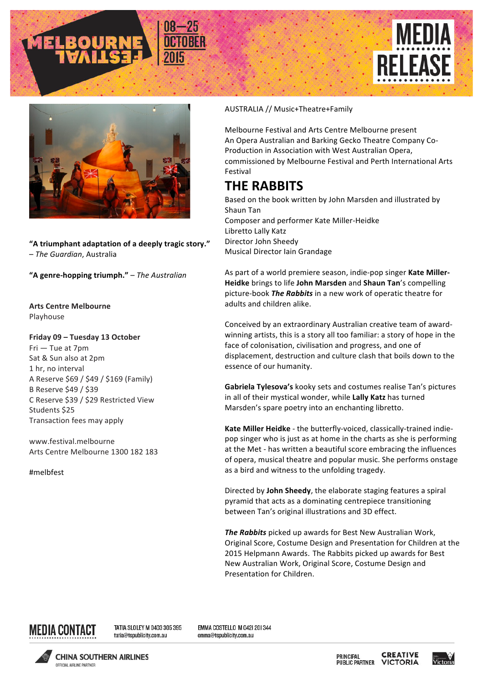



**"A triumphant adaptation of a deeply tragic story."** – *The Guardian*, Australia 

**"A genre-hopping triumph."** – *The Australian*

**Arts Centre Melbourne** Playhouse

## **Friday 09 – Tuesday 13 October**

 $Fri$  – Tue at  $7pm$ Sat & Sun also at 2pm 1 hr, no interval A Reserve \$69 / \$49 / \$169 (Family) B Reserve \$49 / \$39 C Reserve \$39 / \$29 Restricted View Students \$25 Transaction fees may apply

www.festival.melbourne Arts Centre Melbourne 1300 182 183

#melbfest

## AUSTRALIA // Music+Theatre+Family

Melbourne Festival and Arts Centre Melbourne present An Opera Australian and Barking Gecko Theatre Company Co-Production in Association with West Australian Opera, commissioned by Melbourne Festival and Perth International Arts Festival

## **THE RABBITS**

Based on the book written by John Marsden and illustrated by Shaun Tan Composer and performer Kate Miller-Heidke Libretto Lally Katz Director John Sheedy Musical Director Iain Grandage

As part of a world premiere season, indie-pop singer **Kate Miller-**Heidke brings to life John Marsden and Shaun Tan's compelling picture-book *The Rabbits* in a new work of operatic theatre for adults and children alike.

Conceived by an extraordinary Australian creative team of awardwinning artists, this is a story all too familiar: a story of hope in the face of colonisation, civilisation and progress, and one of displacement, destruction and culture clash that boils down to the essence of our humanity.

Gabriela Tylesova's kooky sets and costumes realise Tan's pictures in all of their mystical wonder, while **Lally Katz** has turned Marsden's spare poetry into an enchanting libretto.

Kate Miller Heidke - the butterfly-voiced, classically-trained indiepop singer who is just as at home in the charts as she is performing at the Met - has written a beautiful score embracing the influences of opera, musical theatre and popular music. She performs onstage as a bird and witness to the unfolding tragedy.

Directed by **John Sheedy**, the elaborate staging features a spiral pyramid that acts as a dominating centrepiece transitioning between Tan's original illustrations and 3D effect.

**The Rabbits** picked up awards for Best New Australian Work, Original Score, Costume Design and Presentation for Children at the 2015 Helpmann Awards. The Rabbits picked up awards for Best New Australian Work, Original Score, Costume Design and Presentation for Children.



TATIA SLOLEY M 0403 305 395 tatia@tspublicity.com.au

EMMA COSTELLO M 042| 20| 344 emma@tspublicity.com.au



**CHINA SOUTHERN AIRLINES OFFICIAL AIRLINE PARTNER** 

**CREATIVE PRINCIPAL PUBLIC PARTNER VICTORIA**